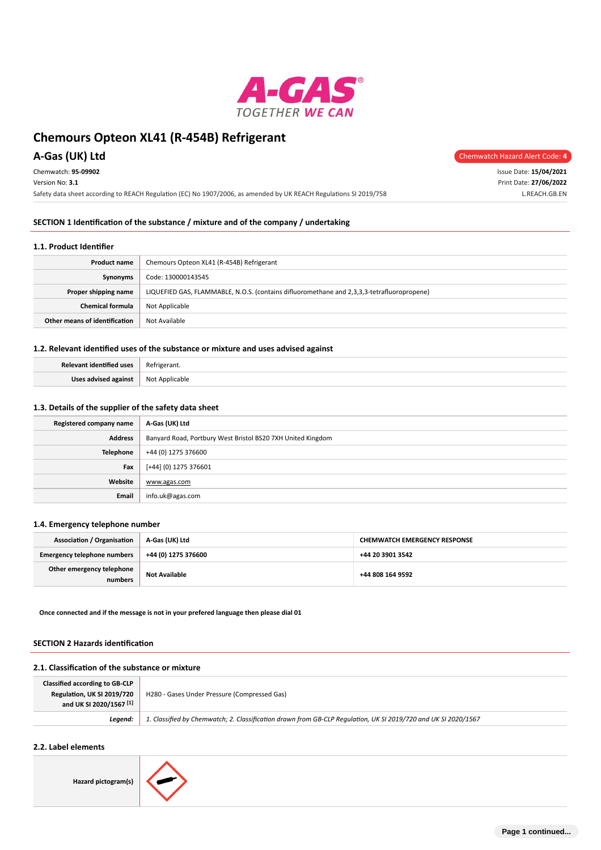

**A-Gas (UK) Ltd** Chemwatch Hazard Alert Code: 4

| Chemwatch: 95-09902                                                                                               | Issue Date: 15/04/2021 |
|-------------------------------------------------------------------------------------------------------------------|------------------------|
| Version No: 3.1                                                                                                   | Print Date: 27/06/2022 |
| Safety data sheet according to REACH Regulation (EC) No 1907/2006, as amended by UK REACH Regulations SI 2019/758 | L.REACH.GB.EN          |
|                                                                                                                   |                        |

### **SECTION 1 Identification of the substance / mixture and of the company / undertaking**

#### **1.1. Product Identifier**

| Chemours Opteon XL41 (R-454B) Refrigerant<br><b>Product name</b>                                                   |                |  |  |  |
|--------------------------------------------------------------------------------------------------------------------|----------------|--|--|--|
| Code: 130000143545<br>Synonyms                                                                                     |                |  |  |  |
| LIQUEFIED GAS, FLAMMABLE, N.O.S. (contains difluoromethane and 2,3,3,3-tetrafluoropropene)<br>Proper shipping name |                |  |  |  |
| <b>Chemical formula</b>                                                                                            | Not Applicable |  |  |  |
| Other means of identification                                                                                      | Not Available  |  |  |  |

### **1.2. Relevant identified uses of the substance or mixture and uses advised against**

| Relevant identified uses | Refrigerant.   |
|--------------------------|----------------|
| Uses advised against     | Not Applicable |

### **1.3. Details of the supplier of the safety data sheet**

| Registered company name | A-Gas (UK) Ltd                                              |  |  |
|-------------------------|-------------------------------------------------------------|--|--|
| <b>Address</b>          | Banyard Road, Portbury West Bristol BS20 7XH United Kingdom |  |  |
| <b>Telephone</b>        | +44 (0) 1275 376600                                         |  |  |
| Fax                     | [+44] (0) 1275 376601                                       |  |  |
| Website                 | www.agas.com                                                |  |  |
| Email                   | info.uk@agas.com                                            |  |  |

### **1.4. Emergency telephone number**

| <b>Association / Organisation</b>    | A-Gas (UK) Ltd       | <b>CHEMWATCH EMERGENCY RESPONSE</b> |  |
|--------------------------------------|----------------------|-------------------------------------|--|
| <b>Emergency telephone numbers</b>   | +44 (0) 1275 376600  | +44 20 3901 3542                    |  |
| Other emergency telephone<br>numbers | <b>Not Available</b> | +44 808 164 9592                    |  |

**Once connected and if the message is not in your prefered language then please dial 01**

#### **SECTION 2 Hazards identification**

### **2.1. Classification of the substance or mixture**

| <b>Classified according to GB-CLP</b><br>Regulation, UK SI 2019/720<br>and UK SI 2020/1567 <sup>[1]</sup> | H280 - Gases Under Pressure (Compressed Gas)                                                                   |
|-----------------------------------------------------------------------------------------------------------|----------------------------------------------------------------------------------------------------------------|
| Leaend:                                                                                                   | 1. Classified by Chemwatch; 2. Classification drawn from GB-CLP Requlation, UK SI 2019/720 and UK SI 2020/1567 |

# **2.2. Label elements**

**Hazard pictogram(s)**

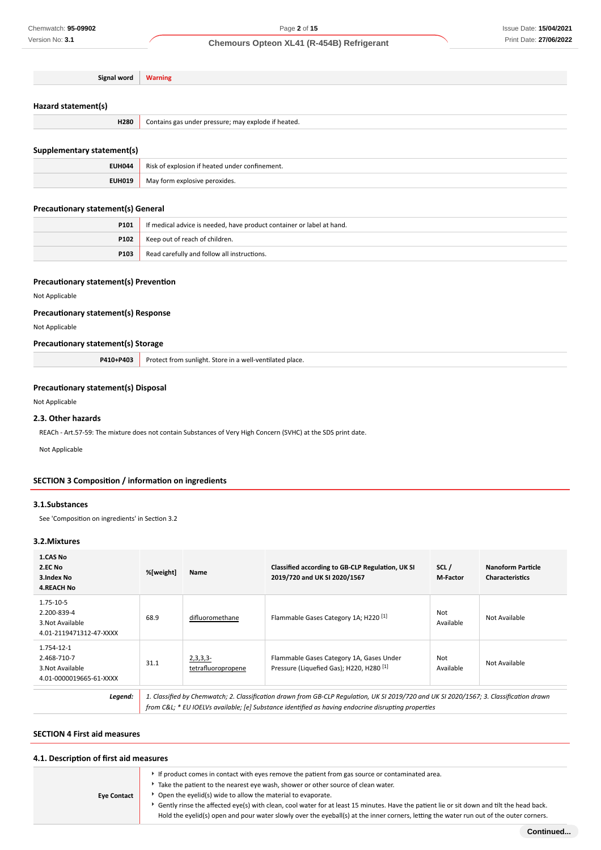| $-10r$ | л. |
|--------|----|
|        |    |

# **Hazard statement(s)**

| H280 | ressure; may explode if heated.<br>Contains gas<br>undei |
|------|----------------------------------------------------------|
|      |                                                          |

# **Supplementary statement(s)**

| <b>EUH044</b> | of explosion if heated under confinement.<br>Risk |
|---------------|---------------------------------------------------|
| <b>EUH019</b> | May form explosive peroxides.                     |

### **Precautionary statement(s) General**

| P101 | If medical advice is needed, have product container or label at hand. |  |  |
|------|-----------------------------------------------------------------------|--|--|
|      | <b>P102</b>   Keep out of reach of children.                          |  |  |
| P103 | Read carefully and follow all instructions.                           |  |  |

### **Precautionary statement(s) Prevention**

# Not Applicable

### **Precautionary statement(s) Response**

Not Applicable

### **Precautionary statement(s) Storage**

| <b>P410+P403</b> Protect from sunlight. Store in a well-ventilated place. |
|---------------------------------------------------------------------------|

### **Precautionary statement(s) Disposal**

Not Applicable

### **2.3. Other hazards**

REACh - Art.57-59: The mixture does not contain Substances of Very High Concern (SVHC) at the SDS print date.

Not Applicable

### **SECTION 3 Composition / information on ingredients**

#### **3.1.Substances**

See 'Composition on ingredients' in Section 3.2

### **3.2.Mixtures**

| <b>1.CAS No</b><br>2.EC No<br>3.Index No<br><b>4.REACH No</b>            | %[weight] | Name                          | Classified according to GB-CLP Regulation, UK SI<br>2019/720 and UK SI 2020/1567                                                                                                                                                              | SCL/<br><b>M-Factor</b> | Nanoform Particle<br><b>Characteristics</b> |
|--------------------------------------------------------------------------|-----------|-------------------------------|-----------------------------------------------------------------------------------------------------------------------------------------------------------------------------------------------------------------------------------------------|-------------------------|---------------------------------------------|
| 1.75-10-5<br>2.200-839-4<br>3. Not Available<br>4.01-2119471312-47-XXXX  | 68.9      | difluoromethane               | Flammable Gases Category 1A; H220 <sup>[1]</sup>                                                                                                                                                                                              | Not<br>Available        | Not Available                               |
| 1.754-12-1<br>2.468-710-7<br>3. Not Available<br>4.01-0000019665-61-XXXX | 31.1      | 2,3,3,3<br>tetrafluoropropene | Flammable Gases Category 1A, Gases Under<br>Pressure (Liquefied Gas): H220, H280 <sup>[1]</sup>                                                                                                                                               | Not<br>Available        | Not Available                               |
| Legend:                                                                  |           |                               | 1. Classified by Chemwatch; 2. Classification drawn from GB-CLP Regulation, UK SI 2019/720 and UK SI 2020/1567; 3. Classification drawn<br>from C&L * EU IOELVs available; [e] Substance identified as having endocrine disrupting properties |                         |                                             |

### **SECTION 4 First aid measures**

# **4.1. Description of first aid measures** If product comes in contact with eyes remove the patient from gas source or contaminated area.

|                    | Take the patient to the nearest eye wash, shower or other source of clean water.                                                          |
|--------------------|-------------------------------------------------------------------------------------------------------------------------------------------|
| <b>Eve Contact</b> | Open the eyelid(s) wide to allow the material to evaporate.                                                                               |
|                    | Gently rinse the affected eve(s) with clean, cool water for at least 15 minutes. Have the patient lie or sit down and tilt the head back. |
|                    | Hold the eyelid(s) open and pour water slowly over the eyeball(s) at the inner corners, letting the water run out of the outer corners.   |
|                    |                                                                                                                                           |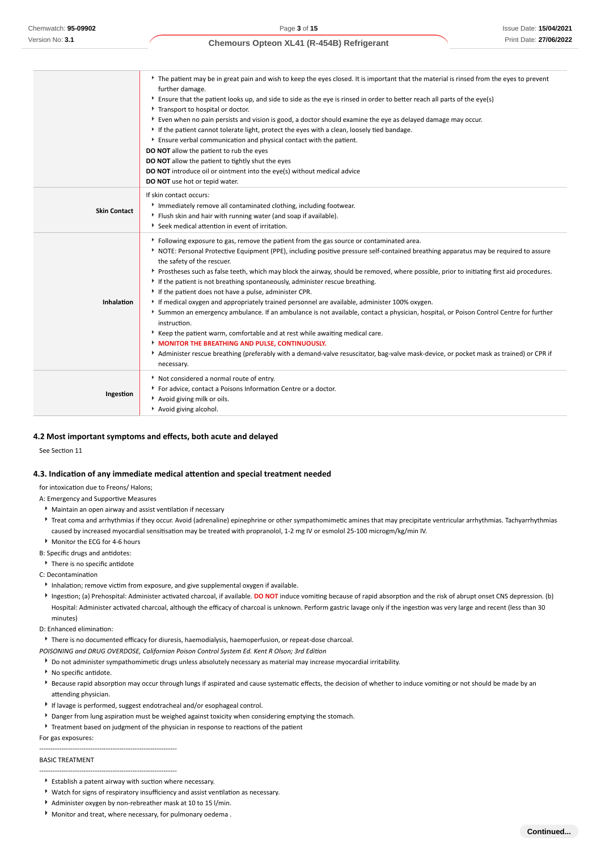|                     | The patient may be in great pain and wish to keep the eyes closed. It is important that the material is rinsed from the eyes to prevent<br>further damage.<br>Ensure that the patient looks up, and side to side as the eye is rinsed in order to better reach all parts of the eye(s)<br>Transport to hospital or doctor.<br>Even when no pain persists and vision is good, a doctor should examine the eye as delayed damage may occur.<br>If the patient cannot tolerate light, protect the eves with a clean, loosely tied bandage.<br>Ensure verbal communication and physical contact with the patient.<br>DO NOT allow the patient to rub the eyes<br>DO NOT allow the patient to tightly shut the eyes<br>DO NOT introduce oil or ointment into the eye(s) without medical advice<br>DO NOT use hot or tepid water.                                                                                                                                                                                                                                                                              |
|---------------------|----------------------------------------------------------------------------------------------------------------------------------------------------------------------------------------------------------------------------------------------------------------------------------------------------------------------------------------------------------------------------------------------------------------------------------------------------------------------------------------------------------------------------------------------------------------------------------------------------------------------------------------------------------------------------------------------------------------------------------------------------------------------------------------------------------------------------------------------------------------------------------------------------------------------------------------------------------------------------------------------------------------------------------------------------------------------------------------------------------|
| <b>Skin Contact</b> | If skin contact occurs:<br>Immediately remove all contaminated clothing, including footwear.<br>Flush skin and hair with running water (and soap if available).<br>Seek medical attention in event of irritation.                                                                                                                                                                                                                                                                                                                                                                                                                                                                                                                                                                                                                                                                                                                                                                                                                                                                                        |
| Inhalation          | ▶ Following exposure to gas, remove the patient from the gas source or contaminated area.<br>NOTE: Personal Protective Equipment (PPE), including positive pressure self-contained breathing apparatus may be required to assure<br>the safety of the rescuer.<br>▶ Prostheses such as false teeth, which may block the airway, should be removed, where possible, prior to initiating first aid procedures.<br>If the patient is not breathing spontaneously, administer rescue breathing.<br>If the patient does not have a pulse, administer CPR.<br>If medical oxygen and appropriately trained personnel are available, administer 100% oxygen.<br>> Summon an emergency ambulance. If an ambulance is not available, contact a physician, hospital, or Poison Control Centre for further<br>instruction.<br>* Keep the patient warm, comfortable and at rest while awaiting medical care.<br>MONITOR THE BREATHING AND PULSE, CONTINUOUSLY.<br>Administer rescue breathing (preferably with a demand-valve resuscitator, bag-valve mask-device, or pocket mask as trained) or CPR if<br>necessary. |
| Ingestion           | Not considered a normal route of entry.<br>For advice, contact a Poisons Information Centre or a doctor.<br>Avoid giving milk or oils.<br>Avoid giving alcohol.                                                                                                                                                                                                                                                                                                                                                                                                                                                                                                                                                                                                                                                                                                                                                                                                                                                                                                                                          |

#### **4.2 Most important symptoms and effects, both acute and delayed**

See Section 11

#### **4.3. Indication of any immediate medical attention and special treatment needed**

for intoxication due to Freons/ Halons;

A: Emergency and Supportive Measures

- Maintain an open airway and assist ventilation if necessary
- ▶ Treat coma and arrhythmias if they occur. Avoid (adrenaline) epinephrine or other sympathomimetic amines that may precipitate ventricular arrhythmias. Tachyarrhythmias caused by increased myocardial sensitisation may be treated with propranolol, 1-2 mg IV or esmolol 25-100 microgm/kg/min IV.
- Monitor the ECG for 4-6 hours

B: Specific drugs and antidotes:

▶ There is no specific antidote

C: Decontamination

- Inhalation; remove victim from exposure, and give supplemental oxygen if available.
- Ingestion; (a) Prehospital: Administer activated charcoal, if available. **DO NOT** induce vomiting because of rapid absorption and the risk of abrupt onset CNS depression. (b) Hospital: Administer activated charcoal, although the efficacy of charcoal is unknown. Perform gastric lavage only if the ingestion was very large and recent (less than 30 minutes)
- D: Enhanced elimination:

There is no documented efficacy for diuresis, haemodialysis, haemoperfusion, or repeat-dose charcoal.

- *POISONING and DRUG OVERDOSE, Californian Poison Control System Ed. Kent R Olson; 3rd Edition*
- Do not administer sympathomimetic drugs unless absolutely necessary as material may increase myocardial irritability.
- No specific antidote.
- **Because rapid absorption may occur through lungs if aspirated and cause systematic effects, the decision of whether to induce vomiting or not should be made by an** attending physician.
- If lavage is performed, suggest endotracheal and/or esophageal control.
- Danger from lung aspiration must be weighed against toxicity when considering emptying the stomach.
- Treatment based on judgment of the physician in response to reactions of the patient

For gas exposures:

-------------------------------------------------------------- --------------------------------------------------------------

### BASIC TREATMENT

- Establish a patent airway with suction where necessary.
- Watch for signs of respiratory insufficiency and assist ventilation as necessary.
- Administer oxygen by non-rebreather mask at 10 to 15 l/min.
- Monitor and treat, where necessary, for pulmonary oedema .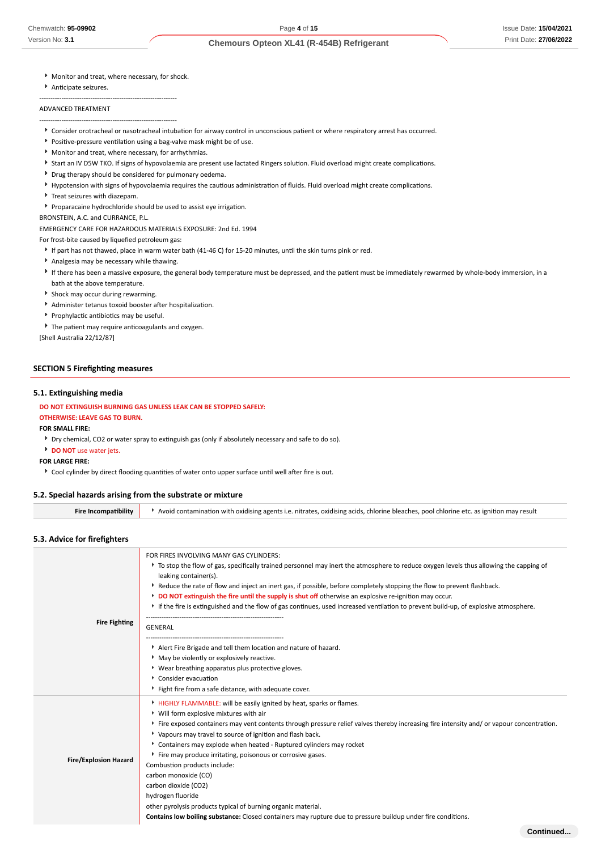- Monitor and treat, where necessary, for shock.
- Anticipate seizures.

### ADVANCED TREATMENT

--------------------------------------------------------------

--------------------------------------------------------------

- Consider orotracheal or nasotracheal intubation for airway control in unconscious patient or where respiratory arrest has occurred.
- Positive-pressure ventilation using a bag-valve mask might be of use.
- Monitor and treat, where necessary, for arrhythmias.
- Start an IV D5W TKO. If signs of hypovolaemia are present use lactated Ringers solution. Fluid overload might create complications.
- Drug therapy should be considered for pulmonary oedema.
- Hypotension with signs of hypovolaemia requires the cautious administration of fluids. Fluid overload might create complications.
- Treat seizures with diazepam.
- Proparacaine hydrochloride should be used to assist eye irrigation.

### BRONSTEIN, A.C. and CURRANCE, P.L.

EMERGENCY CARE FOR HAZARDOUS MATERIALS EXPOSURE: 2nd Ed. 1994

For frost-bite caused by liquefied petroleum gas:

- If part has not thawed, place in warm water bath (41-46 C) for 15-20 minutes, until the skin turns pink or red.
- Analgesia may be necessary while thawing.
- If there has been a massive exposure, the general body temperature must be depressed, and the patient must be immediately rewarmed by whole-body immersion, in a bath at the above temperature.
- Shock may occur during rewarming.
- Administer tetanus toxoid booster after hospitalization.
- **Prophylactic antibiotics may be useful.**
- The patient may require anticoagulants and oxygen.
- [Shell Australia 22/12/87]

### **SECTION 5 Firefighting measures**

#### **5.1. Extinguishing media**

#### **DO NOT EXTINGUISH BURNING GAS UNLESS LEAK CAN BE STOPPED SAFELY:**

#### **OTHERWISE: LEAVE GAS TO BURN.**

**FOR SMALL FIRE:**

Dry chemical, CO2 or water spray to extinguish gas (only if absolutely necessary and safe to do so).

**DO NOT** use water jets.

#### **FOR LARGE FIRE:**

Cool cylinder by direct flooding quantities of water onto upper surface until well after fire is out.

#### **5.2. Special hazards arising from the substrate or mixture**

**Fire Incompatibility Avoid contamination with oxidising agents i.e. nitrates, oxidising acids, chlorine bleaches, pool chlorine etc. as ignition may result** 

### **5.3. Advice for firefighters**

| <b>Fire Fighting</b>         | FOR FIRES INVOLVING MANY GAS CYLINDERS:<br>▶ To stop the flow of gas, specifically trained personnel may inert the atmosphere to reduce oxygen levels thus allowing the capping of<br>leaking container(s).<br>Reduce the rate of flow and inject an inert gas, if possible, before completely stopping the flow to prevent flashback.<br>DO NOT extinguish the fire until the supply is shut off otherwise an explosive re-ignition may occur.<br>If the fire is extinguished and the flow of gas continues, used increased ventilation to prevent build-up, of explosive atmosphere.<br>GENERAL<br>Alert Fire Brigade and tell them location and nature of hazard.<br>• May be violently or explosively reactive.<br>* Wear breathing apparatus plus protective gloves.<br>Consider evacuation<br>Fight fire from a safe distance, with adequate cover. |
|------------------------------|-----------------------------------------------------------------------------------------------------------------------------------------------------------------------------------------------------------------------------------------------------------------------------------------------------------------------------------------------------------------------------------------------------------------------------------------------------------------------------------------------------------------------------------------------------------------------------------------------------------------------------------------------------------------------------------------------------------------------------------------------------------------------------------------------------------------------------------------------------------|
| <b>Fire/Explosion Hazard</b> | HIGHLY FLAMMABLE: will be easily ignited by heat, sparks or flames.<br>▶ Will form explosive mixtures with air<br>Fire exposed containers may vent contents through pressure relief valves thereby increasing fire intensity and/or vapour concentration.<br>* Vapours may travel to source of ignition and flash back.<br>Containers may explode when heated - Ruptured cylinders may rocket<br>Fire may produce irritating, poisonous or corrosive gases.<br>Combustion products include:<br>carbon monoxide (CO)<br>carbon dioxide (CO2)<br>hydrogen fluoride<br>other pyrolysis products typical of burning organic material.<br>Contains low boiling substance: Closed containers may rupture due to pressure buildup under fire conditions.                                                                                                         |
|                              | Continued.                                                                                                                                                                                                                                                                                                                                                                                                                                                                                                                                                                                                                                                                                                                                                                                                                                                |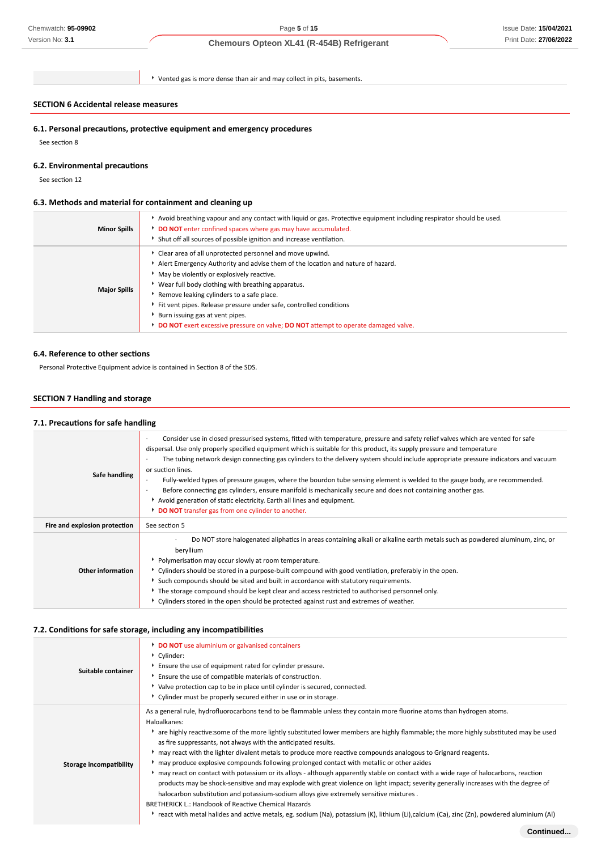### Issue Date: **15/04/2021** Print Date: **27/06/2022**

## **Chemours Opteon XL41 (R-454B) Refrigerant**

Vented gas is more dense than air and may collect in pits, basements.

### **SECTION 6 Accidental release measures**

### **6.1. Personal precautions, protective equipment and emergency procedures**

See section 8

### **6.2. Environmental precautions**

See section 12

### **6.3. Methods and material for containment and cleaning up**

| <b>Minor Spills</b> | Avoid breathing vapour and any contact with liquid or gas. Protective equipment including respirator should be used.<br>DO NOT enter confined spaces where gas may have accumulated.<br>Shut off all sources of possible ignition and increase ventilation.                                                                                                                                                                                                                                               |
|---------------------|-----------------------------------------------------------------------------------------------------------------------------------------------------------------------------------------------------------------------------------------------------------------------------------------------------------------------------------------------------------------------------------------------------------------------------------------------------------------------------------------------------------|
| <b>Major Spills</b> | Clear area of all unprotected personnel and move upwind.<br>Alert Emergency Authority and advise them of the location and nature of hazard.<br>May be violently or explosively reactive.<br>▶ Wear full body clothing with breathing apparatus.<br>Remove leaking cylinders to a safe place.<br>Fit vent pipes. Release pressure under safe, controlled conditions<br>Burn issuing gas at vent pipes.<br><b>DO NOT</b> exert excessive pressure on valve; <b>DO NOT</b> attempt to operate damaged valve. |

#### **6.4. Reference to other sections**

Personal Protective Equipment advice is contained in Section 8 of the SDS.

### **SECTION 7 Handling and storage**

### **7.1. Precautions for safe handling**

| Safe handling                 | Consider use in closed pressurised systems, fitted with temperature, pressure and safety relief valves which are vented for safe<br>dispersal. Use only properly specified equipment which is suitable for this product, its supply pressure and temperature<br>The tubing network design connecting gas cylinders to the delivery system should include appropriate pressure indicators and vacuum<br>or suction lines.<br>Fully-welded types of pressure gauges, where the bourdon tube sensing element is welded to the gauge body, are recommended.<br>Before connecting gas cylinders, ensure manifold is mechanically secure and does not containing another gas.<br>Avoid generation of static electricity. Earth all lines and equipment.<br>DO NOT transfer gas from one cylinder to another. |
|-------------------------------|--------------------------------------------------------------------------------------------------------------------------------------------------------------------------------------------------------------------------------------------------------------------------------------------------------------------------------------------------------------------------------------------------------------------------------------------------------------------------------------------------------------------------------------------------------------------------------------------------------------------------------------------------------------------------------------------------------------------------------------------------------------------------------------------------------|
| Fire and explosion protection | See section 5                                                                                                                                                                                                                                                                                                                                                                                                                                                                                                                                                                                                                                                                                                                                                                                          |
| <b>Other information</b>      | Do NOT store halogenated aliphatics in areas containing alkali or alkaline earth metals such as powdered aluminum, zinc, or<br>beryllium<br>• Polymerisation may occur slowly at room temperature.<br>▶ Cylinders should be stored in a purpose-built compound with good ventilation, preferably in the open.<br>Such compounds should be sited and built in accordance with statutory requirements.<br>► The storage compound should be kept clear and access restricted to authorised personnel only.<br>▶ Cylinders stored in the open should be protected against rust and extremes of weather.                                                                                                                                                                                                    |

### **7.2. Conditions for safe storage, including any incompatibilities**

| Suitable container      | DO NOT use aluminium or galvanised containers<br>Cylinder:<br>Ensure the use of equipment rated for cylinder pressure.<br>Ensure the use of compatible materials of construction.<br>▶ Valve protection cap to be in place until cylinder is secured, connected.<br>▶ Cylinder must be properly secured either in use or in storage.                                                                                                                                                                                                                                                                                                                                                                                                                                                                                                                                                                                                                                                                                                                                                                                                                     |
|-------------------------|----------------------------------------------------------------------------------------------------------------------------------------------------------------------------------------------------------------------------------------------------------------------------------------------------------------------------------------------------------------------------------------------------------------------------------------------------------------------------------------------------------------------------------------------------------------------------------------------------------------------------------------------------------------------------------------------------------------------------------------------------------------------------------------------------------------------------------------------------------------------------------------------------------------------------------------------------------------------------------------------------------------------------------------------------------------------------------------------------------------------------------------------------------|
| Storage incompatibility | As a general rule, hydrofluorocarbons tend to be flammable unless they contain more fluorine atoms than hydrogen atoms.<br>Haloalkanes:<br>rare highly reactive: some of the more lightly substituted lower members are highly flammable; the more highly substituted may be used<br>as fire suppressants, not always with the anticipated results.<br>may react with the lighter divalent metals to produce more reactive compounds analogous to Grignard reagents.<br>may produce explosive compounds following prolonged contact with metallic or other azides<br>may react on contact with potassium or its alloys - although apparently stable on contact with a wide rage of halocarbons, reaction<br>products may be shock-sensitive and may explode with great violence on light impact; severity generally increases with the degree of<br>halocarbon substitution and potassium-sodium alloys give extremely sensitive mixtures.<br><b>BRETHERICK L.: Handbook of Reactive Chemical Hazards</b><br>▶ react with metal halides and active metals, eg. sodium (Na), potassium (K), lithium (Li),calcium (Ca), zinc (Zn), powdered aluminium (Al) |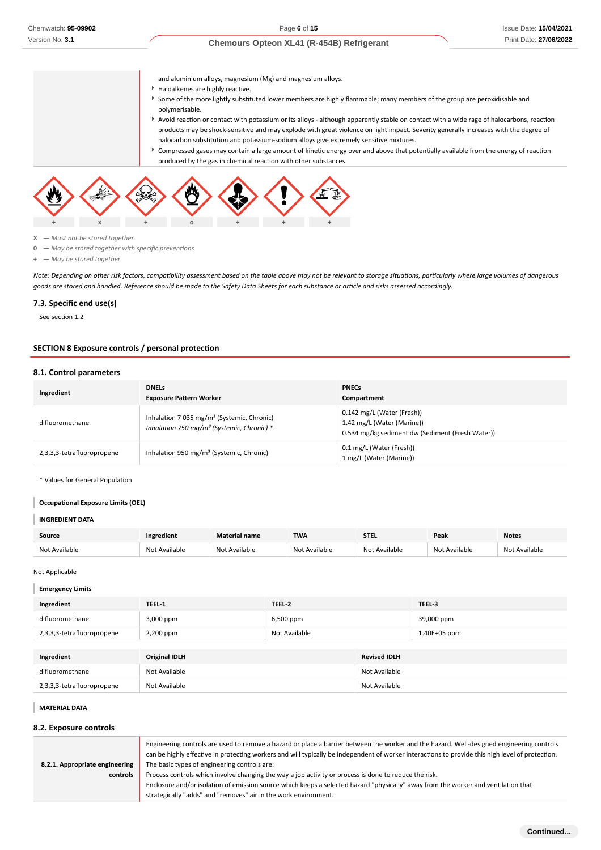and aluminium alloys, magnesium (Mg) and magnesium alloys.

- Haloalkenes are highly reactive.
- Some of the more lightly substituted lower members are highly flammable; many members of the group are peroxidisable and polymerisable.
- Avoid reaction or contact with potassium or its alloys although apparently stable on contact with a wide rage of halocarbons, reaction products may be shock-sensitive and may explode with great violence on light impact. Severity generally increases with the degree of halocarbon substitution and potassium-sodium alloys give extremely sensitive mixtures.
- Compressed gases may contain a large amount of kinetic energy over and above that potentially available from the energy of reaction produced by the gas in chemical reaction with other substances



**X** *— Must not be stored together*

**0** *— May be stored together with specific preventions*

**+** *— May be stored together*

*Note: Depending on other risk factors, compatibility assessment based on the table above may not be relevant to storage situations, particularly where large volumes of dangerous goods are stored and handled. Reference should be made to the Safety Data Sheets for each substance or article and risks assessed accordingly.*

### **7.3. Specific end use(s)**

See section 1.2

### **SECTION 8 Exposure controls / personal protection**

#### **8.1. Control parameters**

| Ingredient                 | <b>DNELS</b><br><b>Exposure Pattern Worker</b>                                                                     | <b>PNECs</b><br>Compartment                                                                                  |
|----------------------------|--------------------------------------------------------------------------------------------------------------------|--------------------------------------------------------------------------------------------------------------|
| difluoromethane            | Inhalation 7 035 mg/m <sup>3</sup> (Systemic, Chronic)<br>Inhalation 750 mg/m <sup>3</sup> (Systemic, Chronic) $*$ | 0.142 mg/L (Water (Fresh))<br>1.42 mg/L (Water (Marine))<br>0.534 mg/kg sediment dw (Sediment (Fresh Water)) |
| 2,3,3,3-tetrafluoropropene | Inhalation 950 mg/m <sup>3</sup> (Systemic, Chronic)                                                               | 0.1 mg/L (Water (Fresh))<br>1 mg/L (Water (Marine))                                                          |

\* Values for General Population

#### **Occupational Exposure Limits (OEL)**

#### **INGREDIENT DATA**

| <b>Source</b> | Ingredient       | Material name | <b>TWA</b> | <b>STEL</b>          | Peak      | <b>Notes</b>      |
|---------------|------------------|---------------|------------|----------------------|-----------|-------------------|
| Not Available | Available<br>Not | Not Available | Available  | ilable<br><b>Nov</b> | ^vailable | Available<br>Not. |

#### Not Applicable

#### **Emergency Limits**

| Ingredient                 | TEEL-1               | TEEL-2        |                     | TEEL-3       |
|----------------------------|----------------------|---------------|---------------------|--------------|
| difluoromethane            | 3,000 ppm            | 6,500 ppm     |                     | 39,000 ppm   |
| 2,3,3,3-tetrafluoropropene | 2,200 ppm            | Not Available |                     | 1.40E+05 ppm |
|                            |                      |               |                     |              |
| Ingredient                 | <b>Original IDLH</b> |               | <b>Revised IDLH</b> |              |
| difluoromethane            | Not Available        |               | Not Available       |              |
| 2,3,3,3-tetrafluoropropene | Not Available        |               | Not Available       |              |

#### **MATERIAL DATA**

#### **8.2. Exposure controls**

|                                | Engineering controls are used to remove a hazard or place a barrier between the worker and the hazard. Well-designed engineering controls<br>can be highly effective in protecting workers and will typically be independent of worker interactions to provide this high level of protection. |  |  |
|--------------------------------|-----------------------------------------------------------------------------------------------------------------------------------------------------------------------------------------------------------------------------------------------------------------------------------------------|--|--|
| 8.2.1. Appropriate engineering | The basic types of engineering controls are:                                                                                                                                                                                                                                                  |  |  |
| controls                       | Process controls which involve changing the way a job activity or process is done to reduce the risk.                                                                                                                                                                                         |  |  |
|                                | Enclosure and/or isolation of emission source which keeps a selected hazard "physically" away from the worker and ventilation that                                                                                                                                                            |  |  |
|                                | strategically "adds" and "removes" air in the work environment.                                                                                                                                                                                                                               |  |  |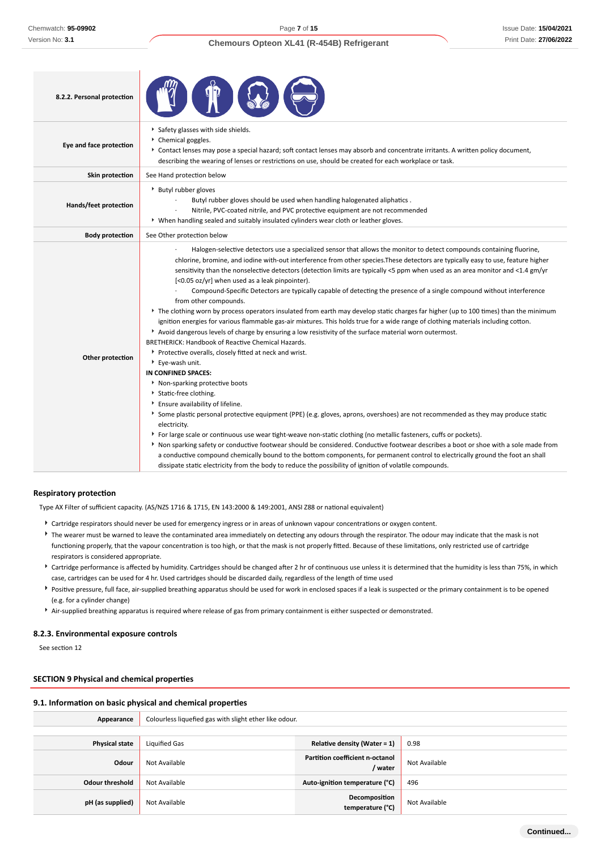### Issue Date: **15/04/2021** Print Date: **27/06/2022**

| 8.2.2. Personal protection |                                                                                                                                                                                                                                                                                                                                                                                                                                                                                                                                                                                                                                                                                                                                                                                                                                                                                                                                                                                                                                                                                                                                                                                                                                                                                                                                                                                                                                                                                                                                                                                                                                                                                                                                                                                                                                                                                                               |
|----------------------------|---------------------------------------------------------------------------------------------------------------------------------------------------------------------------------------------------------------------------------------------------------------------------------------------------------------------------------------------------------------------------------------------------------------------------------------------------------------------------------------------------------------------------------------------------------------------------------------------------------------------------------------------------------------------------------------------------------------------------------------------------------------------------------------------------------------------------------------------------------------------------------------------------------------------------------------------------------------------------------------------------------------------------------------------------------------------------------------------------------------------------------------------------------------------------------------------------------------------------------------------------------------------------------------------------------------------------------------------------------------------------------------------------------------------------------------------------------------------------------------------------------------------------------------------------------------------------------------------------------------------------------------------------------------------------------------------------------------------------------------------------------------------------------------------------------------------------------------------------------------------------------------------------------------|
| Eye and face protection    | Safety glasses with side shields.<br>Chemical goggles.<br>▶ Contact lenses may pose a special hazard; soft contact lenses may absorb and concentrate irritants. A written policy document,<br>describing the wearing of lenses or restrictions on use, should be created for each workplace or task.                                                                                                                                                                                                                                                                                                                                                                                                                                                                                                                                                                                                                                                                                                                                                                                                                                                                                                                                                                                                                                                                                                                                                                                                                                                                                                                                                                                                                                                                                                                                                                                                          |
| Skin protection            | See Hand protection below                                                                                                                                                                                                                                                                                                                                                                                                                                                                                                                                                                                                                                                                                                                                                                                                                                                                                                                                                                                                                                                                                                                                                                                                                                                                                                                                                                                                                                                                                                                                                                                                                                                                                                                                                                                                                                                                                     |
| Hands/feet protection      | ▶ Butyl rubber gloves<br>Butyl rubber gloves should be used when handling halogenated aliphatics.<br>Nitrile, PVC-coated nitrile, and PVC protective equipment are not recommended<br>▶ When handling sealed and suitably insulated cylinders wear cloth or leather gloves.                                                                                                                                                                                                                                                                                                                                                                                                                                                                                                                                                                                                                                                                                                                                                                                                                                                                                                                                                                                                                                                                                                                                                                                                                                                                                                                                                                                                                                                                                                                                                                                                                                   |
| <b>Body protection</b>     | See Other protection below                                                                                                                                                                                                                                                                                                                                                                                                                                                                                                                                                                                                                                                                                                                                                                                                                                                                                                                                                                                                                                                                                                                                                                                                                                                                                                                                                                                                                                                                                                                                                                                                                                                                                                                                                                                                                                                                                    |
| Other protection           | Halogen-selective detectors use a specialized sensor that allows the monitor to detect compounds containing fluorine,<br>chlorine, bromine, and iodine with-out interference from other species. These detectors are typically easy to use, feature higher<br>sensitivity than the nonselective detectors (detection limits are typically <5 ppm when used as an area monitor and <1.4 gm/yr<br>[<0.05 oz/yr] when used as a leak pinpointer).<br>Compound-Specific Detectors are typically capable of detecting the presence of a single compound without interference<br>from other compounds.<br>The clothing worn by process operators insulated from earth may develop static charges far higher (up to 100 times) than the minimum<br>ignition energies for various flammable gas-air mixtures. This holds true for a wide range of clothing materials including cotton.<br>Avoid dangerous levels of charge by ensuring a low resistivity of the surface material worn outermost.<br>BRETHERICK: Handbook of Reactive Chemical Hazards.<br>Protective overalls, closely fitted at neck and wrist.<br>Eye-wash unit.<br>IN CONFINED SPACES:<br>Non-sparking protective boots<br>Static-free clothing.<br>Ensure availability of lifeline.<br>Some plastic personal protective equipment (PPE) (e.g. gloves, aprons, overshoes) are not recommended as they may produce static<br>electricity.<br>For large scale or continuous use wear tight-weave non-static clothing (no metallic fasteners, cuffs or pockets).<br>Non sparking safety or conductive footwear should be considered. Conductive footwear describes a boot or shoe with a sole made from<br>a conductive compound chemically bound to the bottom components, for permanent control to electrically ground the foot an shall<br>dissipate static electricity from the body to reduce the possibility of ignition of volatile compounds. |

### **Respiratory protection**

Type AX Filter of sufficient capacity. (AS/NZS 1716 & 1715, EN 143:2000 & 149:2001, ANSI Z88 or national equivalent)

- Cartridge respirators should never be used for emergency ingress or in areas of unknown vapour concentrations or oxygen content.
- <sup>t</sup> The wearer must be warned to leave the contaminated area immediately on detecting any odours through the respirator. The odour may indicate that the mask is not functioning properly, that the vapour concentration is too high, or that the mask is not properly fitted. Because of these limitations, only restricted use of cartridge respirators is considered appropriate.
- Cartridge performance is affected by humidity. Cartridges should be changed after 2 hr of continuous use unless it is determined that the humidity is less than 75%, in which case, cartridges can be used for 4 hr. Used cartridges should be discarded daily, regardless of the length of time used
- Positive pressure, full face, air-supplied breathing apparatus should be used for work in enclosed spaces if a leak is suspected or the primary containment is to be opened (e.g. for a cylinder change)
- Air-supplied breathing apparatus is required where release of gas from primary containment is either suspected or demonstrated.

### **8.2.3. Environmental exposure controls**

See section 12

### **SECTION 9 Physical and chemical properties**

#### **9.1. Information on basic physical and chemical properties**

| Appearance             | Colourless liquefied gas with slight ether like odour. |                                            |               |
|------------------------|--------------------------------------------------------|--------------------------------------------|---------------|
|                        |                                                        |                                            |               |
| <b>Physical state</b>  | Liquified Gas                                          | Relative density (Water = $1$ )            | 0.98          |
| Odour                  | Not Available                                          | Partition coefficient n-octanol<br>/ water | Not Available |
| <b>Odour threshold</b> | Not Available                                          | Auto-ignition temperature (°C)             | 496           |
| pH (as supplied)       | Not Available                                          | Decomposition<br>temperature (°C)          | Not Available |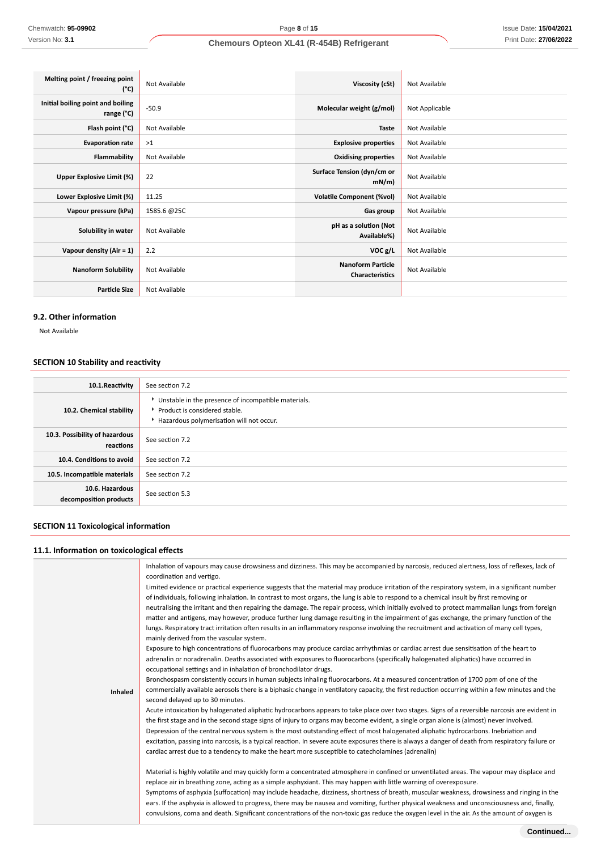| Melting point / freezing point<br>(°C)          | Not Available | Viscosity (cSt)                                    | Not Available  |
|-------------------------------------------------|---------------|----------------------------------------------------|----------------|
| Initial boiling point and boiling<br>range (°C) | $-50.9$       | Molecular weight (g/mol)                           | Not Applicable |
| Flash point (°C)                                | Not Available | <b>Taste</b>                                       | Not Available  |
| <b>Evaporation rate</b>                         | >1            | <b>Explosive properties</b>                        | Not Available  |
| Flammability                                    | Not Available | <b>Oxidising properties</b>                        | Not Available  |
| Upper Explosive Limit (%)                       | 22            | Surface Tension (dyn/cm or<br>mN/m                 | Not Available  |
| Lower Explosive Limit (%)                       | 11.25         | <b>Volatile Component (%vol)</b>                   | Not Available  |
| Vapour pressure (kPa)                           | 1585.6 @25C   | Gas group                                          | Not Available  |
| Solubility in water                             | Not Available | pH as a solution (Not<br>Available%)               | Not Available  |
| Vapour density (Air = 1)                        | 2.2           | VOC g/L                                            | Not Available  |
| <b>Nanoform Solubility</b>                      | Not Available | <b>Nanoform Particle</b><br><b>Characteristics</b> | Not Available  |
| <b>Particle Size</b>                            | Not Available |                                                    |                |

### **9.2. Other information**

Not Available

# **SECTION 10 Stability and reactivity**

| 10.1. Reactivity                            | See section 7.2                                                                                                                    |  |
|---------------------------------------------|------------------------------------------------------------------------------------------------------------------------------------|--|
| 10.2. Chemical stability                    | Unstable in the presence of incompatible materials.<br>▶ Product is considered stable.<br>Hazardous polymerisation will not occur. |  |
| 10.3. Possibility of hazardous<br>reactions | See section 7.2                                                                                                                    |  |
| 10.4. Conditions to avoid                   | See section 7.2                                                                                                                    |  |
| 10.5. Incompatible materials                | See section 7.2                                                                                                                    |  |
| 10.6. Hazardous<br>decomposition products   | See section 5.3                                                                                                                    |  |

# **SECTION 11 Toxicological information**

# **11.1. Information on toxicological effects**

|         | Inhalation of vapours may cause drowsiness and dizziness. This may be accompanied by narcosis, reduced alertness, loss of reflexes, lack of<br>coordination and vertigo. |
|---------|--------------------------------------------------------------------------------------------------------------------------------------------------------------------------|
|         | Limited evidence or practical experience suggests that the material may produce irritation of the respiratory system, in a significant number                            |
|         | of individuals, following inhalation. In contrast to most organs, the lung is able to respond to a chemical insult by first removing or                                  |
|         | neutralising the irritant and then repairing the damage. The repair process, which initially evolved to protect mammalian lungs from foreign                             |
|         | matter and antigens, may however, produce further lung damage resulting in the impairment of gas exchange, the primary function of the                                   |
|         | lungs. Respiratory tract irritation often results in an inflammatory response involving the recruitment and activation of many cell types,                               |
|         | mainly derived from the vascular system.                                                                                                                                 |
|         | Exposure to high concentrations of fluorocarbons may produce cardiac arrhythmias or cardiac arrest due sensitisation of the heart to                                     |
|         | adrenalin or noradrenalin. Deaths associated with exposures to fluorocarbons (specifically halogenated aliphatics) have occurred in                                      |
|         | occupational settings and in inhalation of bronchodilator drugs.                                                                                                         |
|         | Bronchospasm consistently occurs in human subjects inhaling fluorocarbons. At a measured concentration of 1700 ppm of one of the                                         |
|         |                                                                                                                                                                          |
| Inhaled | commercially available aerosols there is a biphasic change in ventilatory capacity, the first reduction occurring within a few minutes and the                           |
|         | second delayed up to 30 minutes.                                                                                                                                         |
|         | Acute intoxication by halogenated aliphatic hydrocarbons appears to take place over two stages. Signs of a reversible narcosis are evident in                            |
|         | the first stage and in the second stage signs of injury to organs may become evident, a single organ alone is (almost) never involved.                                   |
|         | Depression of the central nervous system is the most outstanding effect of most halogenated aliphatic hydrocarbons. Inebriation and                                      |
|         | excitation, passing into narcosis, is a typical reaction. In severe acute exposures there is always a danger of death from respiratory failure or                        |
|         | cardiac arrest due to a tendency to make the heart more susceptible to catecholamines (adrenalin)                                                                        |
|         | Material is highly volatile and may quickly form a concentrated atmosphere in confined or unventilated areas. The vapour may displace and                                |
|         | replace air in breathing zone, acting as a simple asphyxiant. This may happen with little warning of overexposure.                                                       |
|         | Symptoms of asphyxia (suffocation) may include headache, dizziness, shortness of breath, muscular weakness, drowsiness and ringing in the                                |
|         | ears. If the asphyxia is allowed to progress, there may be nausea and vomiting, further physical weakness and unconsciousness and, finally,                              |
|         | convulsions, coma and death. Significant concentrations of the non-toxic gas reduce the oxygen level in the air. As the amount of oxygen is                              |
|         |                                                                                                                                                                          |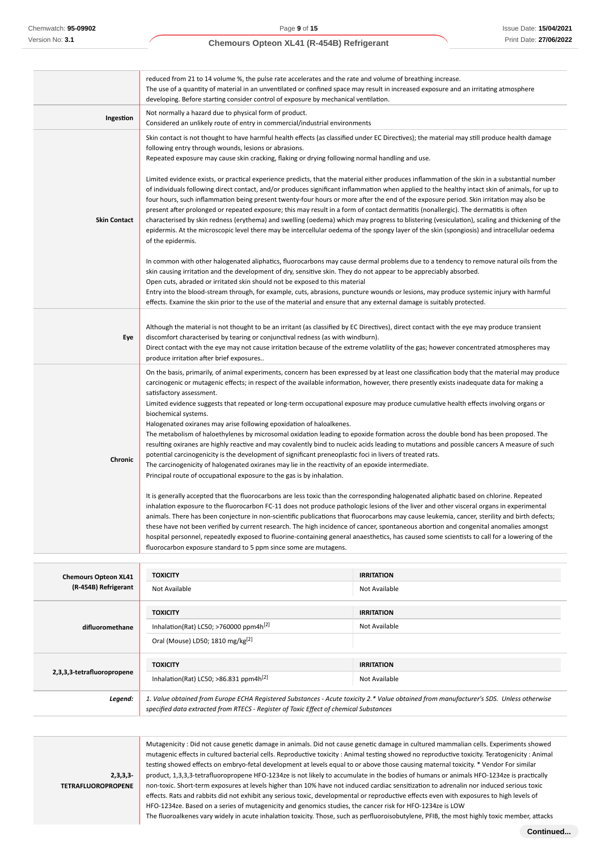| reduced from 21 to 14 volume %, the pulse rate accelerates and the rate and volume of breathing increase.<br>The use of a quantity of material in an unventilated or confined space may result in increased exposure and an irritating atmosphere<br>developing. Before starting consider control of exposure by mechanical ventilation.                                                                                                                                                                                                                                                                                                                                                                                                                                                                                                                                                                                                                                                                                                                                                                                                                                                                                                                                                                                                                                                                                                                                                                                                                                                                                                                                                                                                                                                                                                                                                                                                          |  |  |
|---------------------------------------------------------------------------------------------------------------------------------------------------------------------------------------------------------------------------------------------------------------------------------------------------------------------------------------------------------------------------------------------------------------------------------------------------------------------------------------------------------------------------------------------------------------------------------------------------------------------------------------------------------------------------------------------------------------------------------------------------------------------------------------------------------------------------------------------------------------------------------------------------------------------------------------------------------------------------------------------------------------------------------------------------------------------------------------------------------------------------------------------------------------------------------------------------------------------------------------------------------------------------------------------------------------------------------------------------------------------------------------------------------------------------------------------------------------------------------------------------------------------------------------------------------------------------------------------------------------------------------------------------------------------------------------------------------------------------------------------------------------------------------------------------------------------------------------------------------------------------------------------------------------------------------------------------|--|--|
| Not normally a hazard due to physical form of product.<br>Considered an unlikely route of entry in commercial/industrial environments                                                                                                                                                                                                                                                                                                                                                                                                                                                                                                                                                                                                                                                                                                                                                                                                                                                                                                                                                                                                                                                                                                                                                                                                                                                                                                                                                                                                                                                                                                                                                                                                                                                                                                                                                                                                             |  |  |
| Skin contact is not thought to have harmful health effects (as classified under EC Directives); the material may still produce health damage<br>following entry through wounds, lesions or abrasions.<br>Repeated exposure may cause skin cracking, flaking or drying following normal handling and use.                                                                                                                                                                                                                                                                                                                                                                                                                                                                                                                                                                                                                                                                                                                                                                                                                                                                                                                                                                                                                                                                                                                                                                                                                                                                                                                                                                                                                                                                                                                                                                                                                                          |  |  |
| Limited evidence exists, or practical experience predicts, that the material either produces inflammation of the skin in a substantial number<br>of individuals following direct contact, and/or produces significant inflammation when applied to the healthy intact skin of animals, for up to<br>four hours, such inflammation being present twenty-four hours or more after the end of the exposure period. Skin irritation may also be<br>present after prolonged or repeated exposure; this may result in a form of contact dermatitis (nonallergic). The dermatitis is often<br>characterised by skin redness (erythema) and swelling (oedema) which may progress to blistering (vesiculation), scaling and thickening of the<br>epidermis. At the microscopic level there may be intercellular oedema of the spongy layer of the skin (spongiosis) and intracellular oedema<br>of the epidermis.                                                                                                                                                                                                                                                                                                                                                                                                                                                                                                                                                                                                                                                                                                                                                                                                                                                                                                                                                                                                                                          |  |  |
| In common with other halogenated aliphatics, fluorocarbons may cause dermal problems due to a tendency to remove natural oils from the<br>skin causing irritation and the development of dry, sensitive skin. They do not appear to be appreciably absorbed.<br>Open cuts, abraded or irritated skin should not be exposed to this material<br>Entry into the blood-stream through, for example, cuts, abrasions, puncture wounds or lesions, may produce systemic injury with harmful<br>effects. Examine the skin prior to the use of the material and ensure that any external damage is suitably protected.                                                                                                                                                                                                                                                                                                                                                                                                                                                                                                                                                                                                                                                                                                                                                                                                                                                                                                                                                                                                                                                                                                                                                                                                                                                                                                                                   |  |  |
| Although the material is not thought to be an irritant (as classified by EC Directives), direct contact with the eye may produce transient<br>discomfort characterised by tearing or conjunctival redness (as with windburn).<br>Direct contact with the eye may not cause irritation because of the extreme volatility of the gas; however concentrated atmospheres may<br>produce irritation after brief exposures                                                                                                                                                                                                                                                                                                                                                                                                                                                                                                                                                                                                                                                                                                                                                                                                                                                                                                                                                                                                                                                                                                                                                                                                                                                                                                                                                                                                                                                                                                                              |  |  |
| On the basis, primarily, of animal experiments, concern has been expressed by at least one classification body that the material may produce<br>carcinogenic or mutagenic effects; in respect of the available information, however, there presently exists inadequate data for making a<br>satisfactory assessment.<br>Limited evidence suggests that repeated or long-term occupational exposure may produce cumulative health effects involving organs or<br>biochemical systems.<br>Halogenated oxiranes may arise following epoxidation of haloalkenes.<br>The metabolism of haloethylenes by microsomal oxidation leading to epoxide formation across the double bond has been proposed. The<br>resulting oxiranes are highly reactive and may covalently bind to nucleic acids leading to mutations and possible cancers A measure of such<br>potential carcinogenicity is the development of significant preneoplastic foci in livers of treated rats.<br>The carcinogenicity of halogenated oxiranes may lie in the reactivity of an epoxide intermediate.<br>Principal route of occupational exposure to the gas is by inhalation.<br>It is generally accepted that the fluorocarbons are less toxic than the corresponding halogenated aliphatic based on chlorine. Repeated<br>inhalation exposure to the fluorocarbon FC-11 does not produce pathologic lesions of the liver and other visceral organs in experimental<br>animals. There has been conjecture in non-scientific publications that fluorocarbons may cause leukemia, cancer, sterility and birth defects;<br>these have not been verified by current research. The high incidence of cancer, spontaneous abortion and congenital anomalies amongst<br>hospital personnel, repeatedly exposed to fluorine-containing general anaesthetics, has caused some scientists to call for a lowering of the<br>fluorocarbon exposure standard to 5 ppm since some are mutagens. |  |  |
|                                                                                                                                                                                                                                                                                                                                                                                                                                                                                                                                                                                                                                                                                                                                                                                                                                                                                                                                                                                                                                                                                                                                                                                                                                                                                                                                                                                                                                                                                                                                                                                                                                                                                                                                                                                                                                                                                                                                                   |  |  |

| <b>Chemours Opteon XL41</b> | <b>TOXICITY</b>                                                                                                                                                                                                                 | <b>IRRITATION</b> |
|-----------------------------|---------------------------------------------------------------------------------------------------------------------------------------------------------------------------------------------------------------------------------|-------------------|
| (R-454B) Refrigerant        | Not Available                                                                                                                                                                                                                   | Not Available     |
|                             | <b>TOXICITY</b>                                                                                                                                                                                                                 | <b>IRRITATION</b> |
| difluoromethane             | Inhalation(Rat) LC50; >760000 ppm4h <sup>[2]</sup>                                                                                                                                                                              | Not Available     |
|                             | Oral (Mouse) LD50; 1810 mg/kg <sup>[2]</sup>                                                                                                                                                                                    |                   |
|                             | <b>TOXICITY</b>                                                                                                                                                                                                                 | <b>IRRITATION</b> |
| 2,3,3,3-tetrafluoropropene  | Inhalation(Rat) LC50; >86.831 ppm4h <sup>[2]</sup>                                                                                                                                                                              | Not Available     |
| Legend:                     | 1. Value obtained from Europe ECHA Registered Substances - Acute toxicity 2.* Value obtained from manufacturer's SDS. Unless otherwise<br>specified data extracted from RTECS - Register of Toxic Effect of chemical Substances |                   |

**2,3,3,3- TETRAFLUOROPROPENE**

Mutagenicity : Did not cause genetic damage in animals. Did not cause genetic damage in cultured mammalian cells. Experiments showed mutagenic effects in cultured bacterial cells. Reproductive toxicity : Animal testing showed no reproductive toxicity. Teratogenicity : Animal testing showed effects on embryo-fetal development at levels equal to or above those causing maternal toxicity. \* Vendor For similar product, 1,3,3,3-tetrafluoropropene HFO-1234ze is not likely to accumulate in the bodies of humans or animals HFO-1234ze is practically non-toxic. Short-term exposures at levels higher than 10% have not induced cardiac sensitization to adrenalin nor induced serious toxic effects. Rats and rabbits did not exhibit any serious toxic, developmental or reproductive effects even with exposures to high levels of HFO-1234ze. Based on a series of mutagenicity and genomics studies, the cancer risk for HFO-1234ze is LOW

The fluoroalkenes vary widely in acute inhalation toxicity. Those, such as perfluoroisobutylene, PFIB, the most highly toxic member, attacks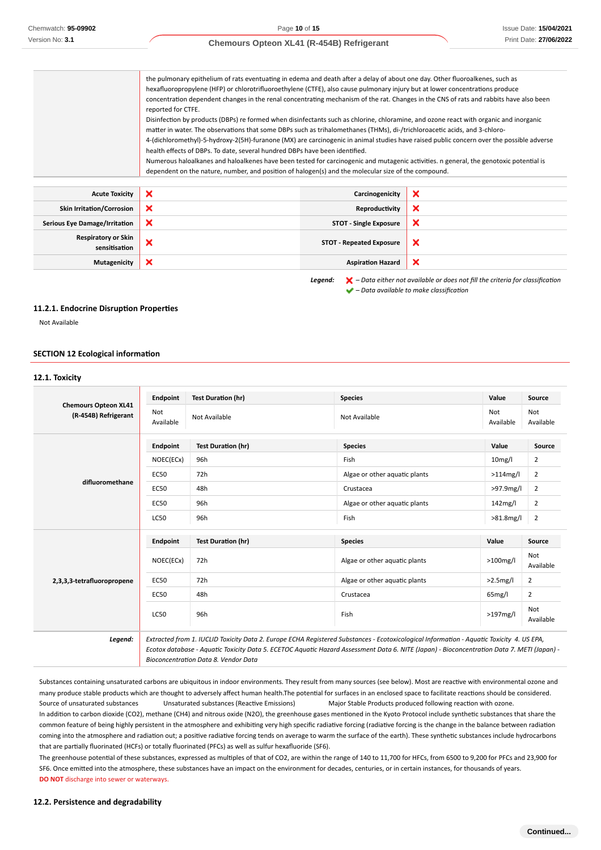the pulmonary epithelium of rats eventuating in edema and death after a delay of about one day. Other fluoroalkenes, such as hexafluoropropylene (HFP) or chlorotrifluoroethylene (CTFE), also cause pulmonary injury but at lower concentrations produce concentration dependent changes in the renal concentrating mechanism of the rat. Changes in the CNS of rats and rabbits have also been reported for CTFE. Disinfection by products (DBPs) re formed when disinfectants such as chlorine, chloramine, and ozone react with organic and inorganic matter in water. The observations that some DBPs such as trihalomethanes (THMs), di-/trichloroacetic acids, and 3-chloro-4-(dichloromethyl)-5-hydroxy-2(5H)-furanone (MX) are carcinogenic in animal studies have raised public concern over the possible adverse health effects of DBPs. To date, several hundred DBPs have been identified. Numerous haloalkanes and haloalkenes have been tested for carcinogenic and mutagenic activities. n general, the genotoxic potential is dependent on the nature, number, and position of halogen(s) and the molecular size of the compound. **Acute Toxicity Carcinogenicity Carcinogenicity**  $\mathbf x$ **Skin Irritation/Corrosion Reproductivity**  $\boldsymbol{\mathsf{x}}$ **Serious Eye Damage/Irritation STOT - Single Exposure** × **Respiratory or Skin** × **STOT - Repeated Exposure** × **sensitisation Mutagenicity Aspiration Hazard Aspiration Hazard Aspiration Hazard**  $\boldsymbol{\mathsf{x}}$ 

> *Legend: – Data either not available or does not fill the criteria for classification – Data available to make classification*

#### **11.2.1. Endocrine Disruption Properties**

Not Available

#### **SECTION 12 Ecological information**

|                                                     | Endpoint         | <b>Test Duration (hr)</b> | <b>Species</b>                | Value               | Source           |
|-----------------------------------------------------|------------------|---------------------------|-------------------------------|---------------------|------------------|
| <b>Chemours Opteon XL41</b><br>(R-454B) Refrigerant | Not<br>Available | Not Available             | Not Available                 | Not<br>Available    | Not<br>Available |
|                                                     | <b>Endpoint</b>  | <b>Test Duration (hr)</b> | <b>Species</b>                | Value               | Source           |
|                                                     | NOEC(ECx)        | 96h                       | Fish                          | 10 <sub>mg</sub> /l | $\overline{2}$   |
|                                                     | <b>EC50</b>      | 72h                       | Algae or other aquatic plants | $>114$ mg/l         | $\overline{2}$   |
| difluoromethane                                     | <b>EC50</b>      | 48h                       | Crustacea                     | >97.9mg/l           | $\overline{2}$   |
|                                                     | <b>EC50</b>      | 96h                       | Algae or other aquatic plants | 142mg/l             | $\overline{2}$   |
|                                                     | LC50             | 96h                       | Fish                          | $>81.8$ mg/l        | $\overline{2}$   |
|                                                     | <b>Endpoint</b>  | <b>Test Duration (hr)</b> | <b>Species</b>                | Value               | Source           |
|                                                     | NOEC(ECx)        | 72h                       | Algae or other aquatic plants | $>100$ mg/l         | Not<br>Available |
| 2,3,3,3-tetrafluoropropene                          | <b>EC50</b>      | 72h                       | Algae or other aquatic plants | $>2.5$ mg/l         | 2                |
|                                                     | <b>EC50</b>      | 48h                       | Crustacea                     | 65mg/l              | 2                |
|                                                     | <b>LC50</b>      | 96h                       | Fish                          | $>197$ mg/l         | Not<br>Available |

Substances containing unsaturated carbons are ubiquitous in indoor environments. They result from many sources (see below). Most are reactive with environmental ozone and many produce stable products which are thought to adversely affect human health.The potential for surfaces in an enclosed space to facilitate reactions should be considered. Source of unsaturated substances Unsaturated substances (Reactive Emissions) Major Stable Products produced following reaction with ozone. In addition to carbon dioxide (CO2), methane (CH4) and nitrous oxide (N2O), the greenhouse gases mentioned in the Kyoto Protocol include synthetic substances that share the common feature of being highly persistent in the atmosphere and exhibiting very high specific radiative forcing (radiative forcing is the change in the balance between radiation coming into the atmosphere and radiation out; a positive radiative forcing tends on average to warm the surface of the earth). These synthetic substances include hydrocarbons that are partially fluorinated (HCFs) or totally fluorinated (PFCs) as well as sulfur hexafluoride (SF6).

The greenhouse potential of these substances, expressed as multiples of that of CO2, are within the range of 140 to 11,700 for HFCs, from 6500 to 9,200 for PFCs and 23,900 for SF6. Once emitted into the atmosphere, these substances have an impact on the environment for decades, centuries, or in certain instances, for thousands of years. **DO NOT** discharge into sewer or waterways.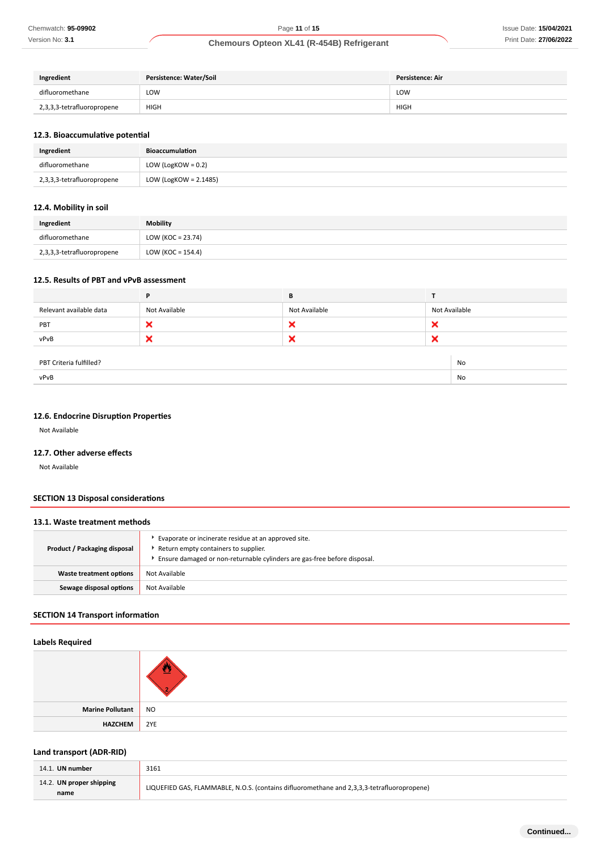| Ingredient                 | Persistence: Water/Soil | <b>Persistence: Air</b> |  |
|----------------------------|-------------------------|-------------------------|--|
| difluoromethane            | LOW<br>___              | LOW                     |  |
| 2,3,3,3-tetrafluoropropene | <b>HIGH</b>             | <b>HIGH</b>             |  |

### **12.3. Bioaccumulative potential**

| Ingredient                 | Bioaccumulation       |
|----------------------------|-----------------------|
| difluoromethane            | LOW (LogKOW = $0.2$ ) |
| 2,3,3,3-tetrafluoropropene | LOW (LogKOW = 2.1485) |

### **12.4. Mobility in soil**

| Ingredient                 | Mobility             |
|----------------------------|----------------------|
| difluoromethane            | LOW (KOC = $23.74$ ) |
| 2,3,3,3-tetrafluoropropene | LOW (KOC = $154.4$ ) |

#### **12.5. Results of PBT and vPvB assessment**

|                                      | P             | В             |               |  |
|--------------------------------------|---------------|---------------|---------------|--|
| Relevant available data              | Not Available | Not Available | Not Available |  |
| PBT                                  | ×             | ×             | ×             |  |
| vPvB                                 | ×             | ×             | ×             |  |
|                                      |               |               |               |  |
| PBT Criteria fulfilled?<br><b>No</b> |               |               |               |  |
| vPvB                                 |               |               | No            |  |

### **12.6. Endocrine Disruption Properties**

Not Available

#### **12.7. Other adverse effects**

Not Available

### **SECTION 13 Disposal considerations**

| 13.1. Waste treatment methods |                                                                                                                                                                            |  |
|-------------------------------|----------------------------------------------------------------------------------------------------------------------------------------------------------------------------|--|
| Product / Packaging disposal  | Evaporate or incinerate residue at an approved site.<br>▶ Return empty containers to supplier.<br>Ensure damaged or non-returnable cylinders are gas-free before disposal. |  |
| Waste treatment options       | Not Available                                                                                                                                                              |  |
| Sewage disposal options       | Not Available                                                                                                                                                              |  |

### **SECTION 14 Transport information**

### **Labels Required**

| Marine Pollutant | <b>NO</b> |
|------------------|-----------|
| <b>HAZCHEM</b>   | 2YE       |

## **Land transport (ADR-RID)**

| 14.1. UN number                  | 3161                                                                                       |
|----------------------------------|--------------------------------------------------------------------------------------------|
| 14.2. UN proper shipping<br>name | LIQUEFIED GAS, FLAMMABLE, N.O.S. (contains difluoromethane and 2,3,3,3-tetrafluoropropene) |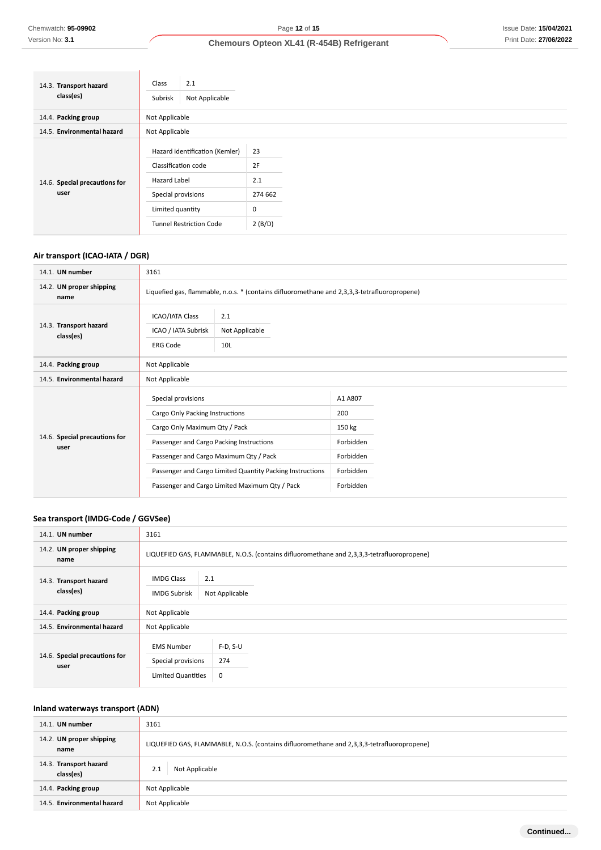| 14.3. Transport hazard<br>class(es) | 2.1<br>Class<br>Not Applicable<br>Subrisk |         |
|-------------------------------------|-------------------------------------------|---------|
| 14.4. Packing group                 | Not Applicable                            |         |
| 14.5. Environmental hazard          | Not Applicable                            |         |
|                                     | Hazard identification (Kemler)            | 23      |
|                                     | Classification code                       | 2F      |
| 14.6. Special precautions for       | <b>Hazard Label</b>                       | 2.1     |
| user                                | Special provisions                        | 274 662 |
|                                     | Limited quantity                          | 0       |
|                                     | <b>Tunnel Restriction Code</b>            | 2(B/D)  |

# **Air transport (ICAO-IATA / DGR)**

| 14.1. UN number                       | 3161                                                                                                                                                                                                                                                                                        |  |                                                                              |  |  |
|---------------------------------------|---------------------------------------------------------------------------------------------------------------------------------------------------------------------------------------------------------------------------------------------------------------------------------------------|--|------------------------------------------------------------------------------|--|--|
| 14.2. UN proper shipping<br>name      | Liquefied gas, flammable, n.o.s. * (contains difluoromethane and 2,3,3,3-tetrafluoropropene)                                                                                                                                                                                                |  |                                                                              |  |  |
| 14.3. Transport hazard<br>class(es)   | <b>ICAO/IATA Class</b><br>2.1<br>ICAO / IATA Subrisk<br>Not Applicable<br><b>ERG Code</b><br>10L                                                                                                                                                                                            |  |                                                                              |  |  |
| 14.4. Packing group                   | Not Applicable                                                                                                                                                                                                                                                                              |  |                                                                              |  |  |
| 14.5. Environmental hazard            | Not Applicable                                                                                                                                                                                                                                                                              |  |                                                                              |  |  |
| 14.6. Special precautions for<br>user | Special provisions<br>Cargo Only Packing Instructions<br>Cargo Only Maximum Qty / Pack<br>Passenger and Cargo Packing Instructions<br>Passenger and Cargo Maximum Qty / Pack<br>Passenger and Cargo Limited Quantity Packing Instructions<br>Passenger and Cargo Limited Maximum Qty / Pack |  | A1 A807<br>200<br>150 kg<br>Forbidden<br>Forbidden<br>Forbidden<br>Forbidden |  |  |

# **Sea transport (IMDG-Code / GGVSee)**

| 14.1. UN number                       | 3161                                                                                       |                        |  |  |  |
|---------------------------------------|--------------------------------------------------------------------------------------------|------------------------|--|--|--|
| 14.2. UN proper shipping<br>name      | LIQUEFIED GAS, FLAMMABLE, N.O.S. (contains difluoromethane and 2,3,3,3-tetrafluoropropene) |                        |  |  |  |
| 14.3. Transport hazard<br>class(es)   | 2.1<br><b>IMDG Class</b><br>Not Applicable<br><b>IMDG Subrisk</b>                          |                        |  |  |  |
| 14.4. Packing group                   | Not Applicable                                                                             |                        |  |  |  |
| 14.5. Environmental hazard            | Not Applicable                                                                             |                        |  |  |  |
| 14.6. Special precautions for<br>user | <b>EMS Number</b><br>Special provisions<br><b>Limited Quantities</b>                       | $F-D, S-U$<br>274<br>0 |  |  |  |

# **Inland waterways transport (ADN)**

| 14.1. UN number                     | 3161                                                                                       |  |  |
|-------------------------------------|--------------------------------------------------------------------------------------------|--|--|
| 14.2. UN proper shipping<br>name    | LIQUEFIED GAS, FLAMMABLE, N.O.S. (contains difluoromethane and 2,3,3,3-tetrafluoropropene) |  |  |
| 14.3. Transport hazard<br>class(es) | Not Applicable<br>2.1                                                                      |  |  |
| 14.4. Packing group                 | Not Applicable                                                                             |  |  |
| 14.5. Environmental hazard          | Not Applicable                                                                             |  |  |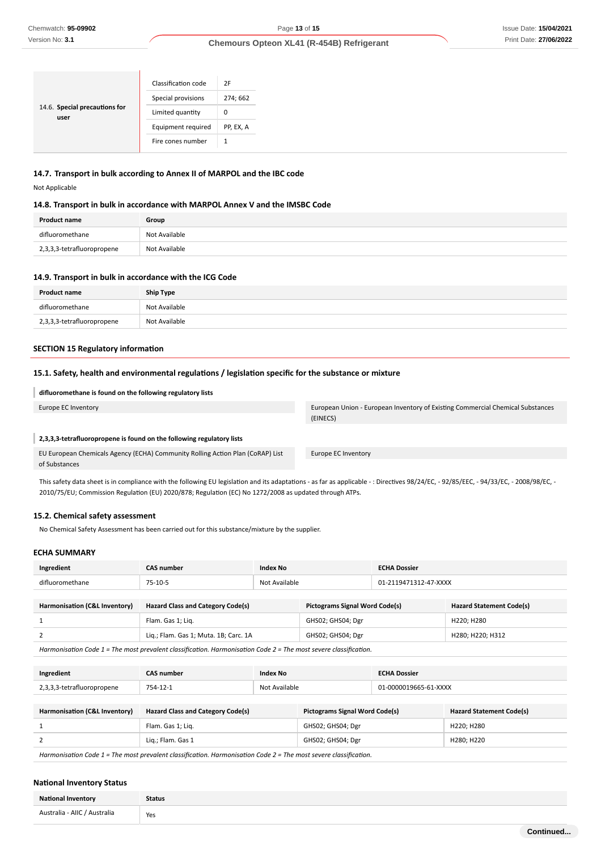### Issue Date: **15/04/2021** Print Date: **27/06/2022**

### **Chemours Opteon XL41 (R-454B) Refrigerant**

|                                       | Classification code | 2F        |
|---------------------------------------|---------------------|-----------|
|                                       | Special provisions  | 274; 662  |
| 14.6. Special precautions for<br>user | Limited quantity    | 0         |
|                                       | Equipment required  | PP, EX, A |
|                                       | Fire cones number   | 1         |
|                                       |                     |           |

### **14.7. Transport in bulk according to Annex II of MARPOL and the IBC code**

Not Applicable

### **14.8. Transport in bulk in accordance with MARPOL Annex V and the IMSBC Code**

| <b>Product name</b>        | Group         |
|----------------------------|---------------|
| difluoromethane            | Not Available |
| 2,3,3,3-tetrafluoropropene | Not Available |

#### **14.9. Transport in bulk in accordance with the ICG Code**

| <b>Product name</b>        | Ship Type     |
|----------------------------|---------------|
| difluoromethane            | Not Available |
| 2,3,3,3-tetrafluoropropene | Not Available |

### **SECTION 15 Regulatory information**

#### **15.1. Safety, health and environmental regulations / legislation specific for the substance or mixture**

### **difluoromethane is found on the following regulatory lists**

#### **2,3,3,3-tetrafluoropropene is found on the following regulatory lists**

EU European Chemicals Agency (ECHA) Community Rolling Action Plan (CoRAP) List of Substances

This safety data sheet is in compliance with the following EU legislation and its adaptations - as far as applicable - : Directives 98/24/EC, - 92/85/EEC, - 94/33/EC, - 2008/98/EC, - 2010/75/EU; Commission Regulation (EU) 2020/878; Regulation (EC) No 1272/2008 as updated through ATPs.

### **15.2. Chemical safety assessment**

No Chemical Safety Assessment has been carried out for this substance/mixture by the supplier.

#### **ECHA SUMMARY**

| Ingredient                    | <b>CAS number</b>                        | Index No      |                                       | <b>ECHA Dossier</b>   |                                 |
|-------------------------------|------------------------------------------|---------------|---------------------------------------|-----------------------|---------------------------------|
| difluoromethane               | 75-10-5                                  | Not Available |                                       | 01-2119471312-47-XXXX |                                 |
|                               |                                          |               |                                       |                       |                                 |
| Harmonisation (C&L Inventory) | <b>Hazard Class and Category Code(s)</b> |               | <b>Pictograms Signal Word Code(s)</b> |                       | <b>Hazard Statement Code(s)</b> |
|                               | Flam. Gas 1; Lig.                        |               | GHS02; GHS04; Dgr                     |                       | H220; H280                      |

|                                                                                                                 | Lig.; Flam. Gas 1; Muta. 1B; Carc. 1A | GHS02: GHS04: Dgr | : H220: H312 |  |  |
|-----------------------------------------------------------------------------------------------------------------|---------------------------------------|-------------------|--------------|--|--|
| Harmonisation Code 1 = The most prevalent classification. Harmonisation Code 2 = The most severe classification |                                       |                   |              |  |  |

*Harmonisation Code 1 = The most prevalent classification. Harmonisation Code 2 = The most severe classification.*

| Ingredient                           | CAS number | Index No           | <b>ECHA Dossier</b> |
|--------------------------------------|------------|--------------------|---------------------|
| າານ<br>3,3-tetrafluoropropene<br>, ت | 754-12-1   | Not Available<br>. | 1-XXXX              |

| Harmonisation (C&L Inventory) | <b>Hazard Class and Category Code(s)</b> | <b>Pictograms Signal Word Code(s)</b> | <b>Hazard Statement Code(s)</b> |
|-------------------------------|------------------------------------------|---------------------------------------|---------------------------------|
|                               | Flam. Gas 1; Lig.                        | GHS02; GHS04; Dgr                     | H220: H280                      |
|                               | Lig.; Flam. Gas 1                        | GHS02; GHS04; Dgr                     | H280: H220                      |
|                               |                                          |                                       |                                 |

*Harmonisation Code 1 = The most prevalent classification. Harmonisation Code 2 = The most severe classification.*

#### **National Inventory Status**

| <b>National Inventory</b>    | <b>Status</b> |
|------------------------------|---------------|
| Australia - AIIC / Australia | Yes           |

Europe EC Inventory European Union - European Inventory of Existing Commercial Chemical Substances (EINECS)

Europe EC Inventory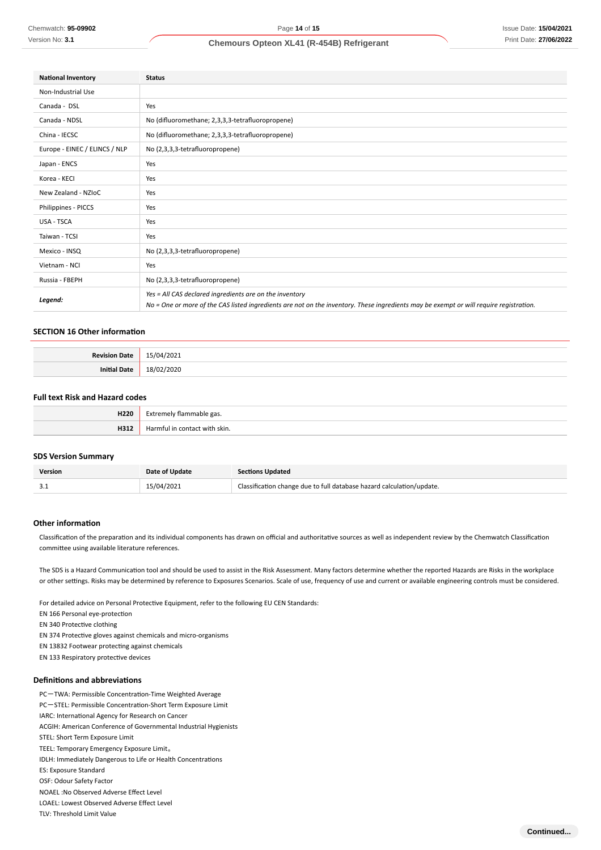| <b>National Inventory</b>     | <b>Status</b>                                                                                                                                                                                     |  |
|-------------------------------|---------------------------------------------------------------------------------------------------------------------------------------------------------------------------------------------------|--|
| Non-Industrial Use            |                                                                                                                                                                                                   |  |
| Canada - DSL                  | Yes                                                                                                                                                                                               |  |
| Canada - NDSL                 | No (difluoromethane; 2,3,3,3-tetrafluoropropene)                                                                                                                                                  |  |
| China - IECSC                 | No (difluoromethane; 2,3,3,3-tetrafluoropropene)                                                                                                                                                  |  |
| Europe - EINEC / ELINCS / NLP | No (2,3,3,3-tetrafluoropropene)                                                                                                                                                                   |  |
| Japan - ENCS                  | Yes                                                                                                                                                                                               |  |
| Korea - KECI                  | Yes                                                                                                                                                                                               |  |
| New Zealand - NZIoC           | Yes                                                                                                                                                                                               |  |
| Philippines - PICCS           | Yes                                                                                                                                                                                               |  |
| USA - TSCA                    | Yes                                                                                                                                                                                               |  |
| Taiwan - TCSI                 | Yes                                                                                                                                                                                               |  |
| Mexico - INSQ                 | No (2,3,3,3-tetrafluoropropene)                                                                                                                                                                   |  |
| Vietnam - NCI                 | Yes                                                                                                                                                                                               |  |
| Russia - FBEPH                | No (2,3,3,3-tetrafluoropropene)                                                                                                                                                                   |  |
| Legend:                       | Yes = All CAS declared ingredients are on the inventory<br>No = One or more of the CAS listed ingredients are not on the inventory. These ingredients may be exempt or will require registration. |  |

#### **SECTION 16 Other information**

| <b>Povicion</b><br>1222 | '2021<br>$\mathbf{u}$ |
|-------------------------|-----------------------|
| י היו                   |                       |

### **Full text Risk and Hazard codes**

| H220 | CM.<br>e gas.<br>remely flammable |
|------|-----------------------------------|
| H312 | . Harmful in contact with skin.   |

#### **SDS Version Summary**

| <b>Version</b> | Date of Update | <b>Sections Updated</b>                                               |
|----------------|----------------|-----------------------------------------------------------------------|
| .              | 15/04/2021     | Classification change due to full database hazard calculation/update. |

#### **Other information**

Classification of the preparation and its individual components has drawn on official and authoritative sources as well as independent review by the Chemwatch Classification committee using available literature references.

The SDS is a Hazard Communication tool and should be used to assist in the Risk Assessment. Many factors determine whether the reported Hazards are Risks in the workplace or other settings. Risks may be determined by reference to Exposures Scenarios. Scale of use, frequency of use and current or available engineering controls must be considered.

For detailed advice on Personal Protective Equipment, refer to the following EU CEN Standards:

EN 166 Personal eye-protection

EN 340 Protective clothing

- EN 374 Protective gloves against chemicals and micro-organisms
- EN 13832 Footwear protecting against chemicals
- EN 133 Respiratory protective devices

### **Definitions and abbreviations**

- PC-TWA: Permissible Concentration-Time Weighted Average
- PC-STEL: Permissible Concentration-Short Term Exposure Limit
- IARC: International Agency for Research on Cancer
- ACGIH: American Conference of Governmental Industrial Hygienists
- STEL: Short Term Exposure Limit
- TEEL: Temporary Emergency Exposure Limit。
- IDLH: Immediately Dangerous to Life or Health Concentrations
- ES: Exposure Standard
- OSF: Odour Safety Factor
- NOAEL :No Observed Adverse Effect Level
- LOAEL: Lowest Observed Adverse Effect Level
- TLV: Threshold Limit Value